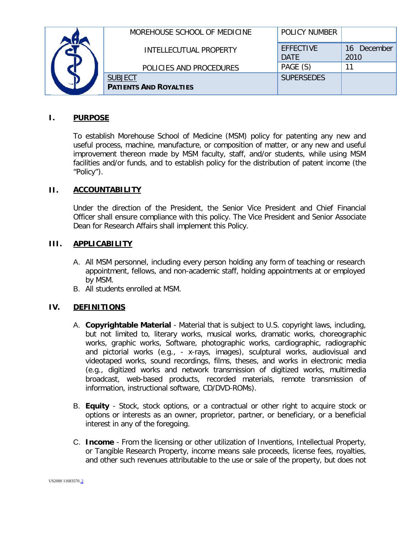|  | MOREHOUSE SCHOOL OF MEDICINE  | <b>POLICY NUMBER</b>            |                        |
|--|-------------------------------|---------------------------------|------------------------|
|  | <b>INTELLECUTUAL PROPERTY</b> | <b>EFFECTIVE</b><br><b>DATF</b> | December<br>16<br>2010 |
|  | POLICIES AND PROCEDURES       | PAGE (S)                        |                        |
|  | <b>SUBJECT</b>                | <b>SUPERSEDES</b>               |                        |
|  | <b>PATIENTS AND ROYALTIES</b> |                                 |                        |

## **I. PURPOSE**

To establish Morehouse School of Medicine (MSM) policy for patenting any new and useful process, machine, manufacture, or composition of matter, or any new and useful improvement thereon made by MSM faculty, staff, and/or students, while using MSM facilities and/or funds, and to establish policy for the distribution of patent income (the "Policy").

## **II. ACCOUNTABILITY**

Under the direction of the President, the Senior Vice President and Chief Financial Officer shall ensure compliance with this policy. The Vice President and Senior Associate Dean for Research Affairs shall implement this Policy.

## **III. APPLICABILITY**

- A. All MSM personnel, including every person holding any form of teaching or research appointment, fellows, and non-academic staff, holding appointments at or employed by MSM.
- B. All students enrolled at MSM.

# **IV. DEFINITIONS**

- A. **Copyrightable Material** Material that is subject to U.S. copyright laws, including, but not limited to, literary works, musical works, dramatic works, choreographic works, graphic works, Software, photographic works, cardiographic, radiographic and pictorial works (e.g., - x-rays, images), sculptural works, audiovisual and videotaped works, sound recordings, films, theses, and works in electronic media (e.g., digitized works and network transmission of digitized works, multimedia broadcast, web-based products, recorded materials, remote transmission of information, instructional software, CD/DVD-ROMs).
- B. **Equity** Stock, stock options, or a contractual or other right to acquire stock or options or interests as an owner, proprietor, partner, or beneficiary, or a beneficial interest in any of the foregoing.
- C. **Income**  From the licensing or other utilization of Inventions, Intellectual Property, or Tangible Research Property, income means sale proceeds, license fees, royalties, and other such revenues attributable to the use or sale of the property, but does not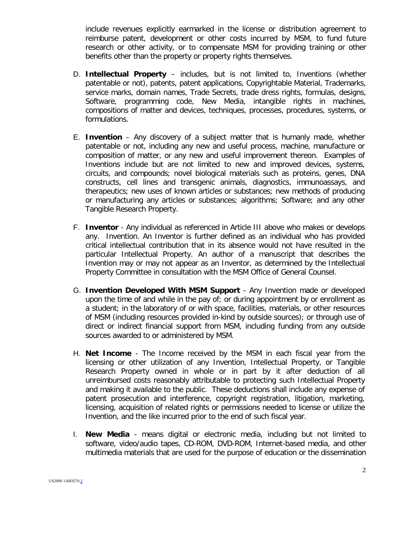include revenues explicitly earmarked in the license or distribution agreement to reimburse patent, development or other costs incurred by MSM, to fund future research or other activity, or to compensate MSM for providing training or other benefits other than the property or property rights themselves.

- D. **Intellectual Property** includes, but is not limited to, Inventions (whether patentable or not), patents, patent applications, Copyrightable Material, Trademarks, service marks, domain names, Trade Secrets, trade dress rights, formulas, designs, Software, programming code, New Media, intangible rights in machines, compositions of matter and devices, techniques, processes, procedures, systems, or formulations.
- E. **Invention**  Any discovery of a subject matter that is humanly made, whether patentable or not, including any new and useful process, machine, manufacture or composition of matter, or any new and useful improvement thereon. Examples of Inventions include but are not limited to new and improved devices, systems, circuits, and compounds; novel biological materials such as proteins, genes, DNA constructs, cell lines and transgenic animals, diagnostics, immunoassays, and therapeutics; new uses of known articles or substances; new methods of producing or manufacturing any articles or substances; algorithms; Software; and any other Tangible Research Property.
- F. **Inventor** Any individual as referenced in Article III above who makes or develops any. Invention. An Inventor is further defined as an individual who has provided critical intellectual contribution that in its absence would not have resulted in the particular Intellectual Property. An author of a manuscript that describes the Invention may or may not appear as an Inventor, as determined by the Intellectual Property Committee in consultation with the MSM Office of General Counsel.
- G. **Invention Developed With MSM Support** Any Invention made or developed upon the time of and while in the pay of; or during appointment by or enrollment as a student; in the laboratory of or with space, facilities, materials, or other resources of MSM (including resources provided in-kind by outside sources); or through use of direct or indirect financial support from MSM, including funding from any outside sources awarded to or administered by MSM.
- H. **Net Income** The Income received by the MSM in each fiscal year from the licensing or other utilization of any Invention, Intellectual Property, or Tangible Research Property owned in whole or in part by it after deduction of all unreimbursed costs reasonably attributable to protecting such Intellectual Property and making it available to the public. These deductions shall include any expense of patent prosecution and interference, copyright registration, litigation, marketing, licensing, acquisition of related rights or permissions needed to license or utilize the Invention, and the like incurred prior to the end of such fiscal year.
- I. **New Media** means digital or electronic media, including but not limited to software, video/audio tapes, CD-ROM, DVD-ROM, Internet-based media, and other multimedia materials that are used for the purpose of education or the dissemination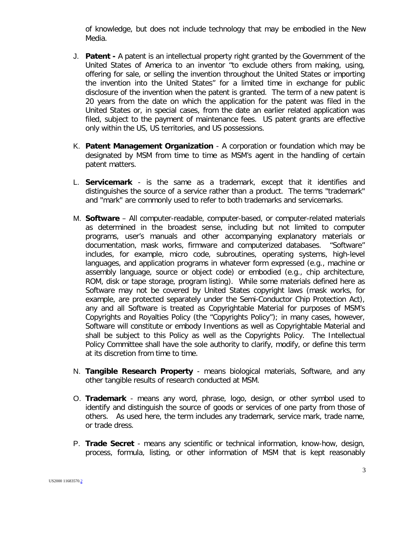of knowledge, but does not include technology that may be embodied in the New Media.

- J. **Patent -** A patent is an intellectual property right granted by the Government of the United States of America to an inventor "to exclude others from making, using, offering for sale, or selling the invention throughout the United States or importing the invention into the United States" for a limited time in exchange for public disclosure of the invention when the patent is granted. The term of a new patent is 20 years from the date on which the application for the patent was filed in the United States or, in special cases, from the date an earlier related application was filed, subject to the payment of maintenance fees. US patent grants are effective only within the US, US territories, and US possessions.
- K. **Patent Management Organization** A corporation or foundation which may be designated by MSM from time to time as MSM's agent in the handling of certain patent matters.
- L. **Servicemark** is the same as a trademark, except that it identifies and distinguishes the source of a service rather than a product. The terms "trademark" and "mark" are commonly used to refer to both trademarks and servicemarks.
- M. **Software**  All computer-readable, computer-based, or computer-related materials as determined in the broadest sense, including but not limited to computer programs, user's manuals and other accompanying explanatory materials or documentation, mask works, firmware and computerized databases. "Software" includes, for example, micro code, subroutines, operating systems, high-level languages, and application programs in whatever form expressed (e.g., machine or assembly language, source or object code) or embodied (e.g., chip architecture, ROM, disk or tape storage, program listing). While some materials defined here as Software may not be covered by United States copyright laws (mask works, for example, are protected separately under the Semi-Conductor Chip Protection Act), any and all Software is treated as Copyrightable Material for purposes of MSM's Copyrights and Royalties Policy (the "Copyrights Policy"); in many cases, however, Software will constitute or embody Inventions as well as Copyrightable Material and shall be subject to this Policy as well as the Copyrights Policy. The Intellectual Policy Committee shall have the sole authority to clarify, modify, or define this term at its discretion from time to time.
- N. **Tangible Research Property**  means biological materials, Software, and any other tangible results of research conducted at MSM.
- O. **Trademark** means any word, phrase, logo, design, or other symbol used to identify and distinguish the source of goods or services of one party from those of others. As used here, the term includes any trademark, service mark, trade name, or trade dress.
- P. **Trade Secret** means any scientific or technical information, know-how, design, process, formula, listing, or other information of MSM that is kept reasonably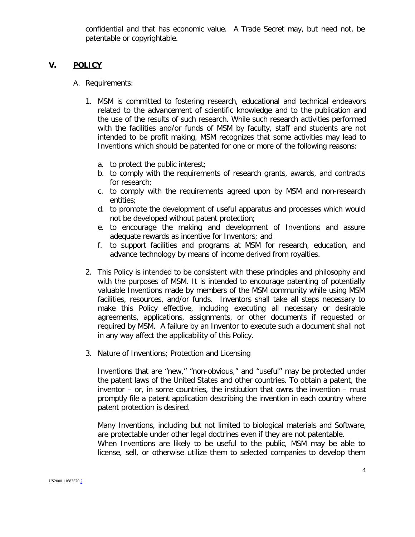confidential and that has economic value. A Trade Secret may, but need not, be patentable or copyrightable.

## **V. POLICY**

- A. Requirements:
	- 1. MSM is committed to fostering research, educational and technical endeavors related to the advancement of scientific knowledge and to the publication and the use of the results of such research. While such research activities performed with the facilities and/or funds of MSM by faculty, staff and students are not intended to be profit making, MSM recognizes that some activities may lead to Inventions which should be patented for one or more of the following reasons:
		- a. to protect the public interest;
		- b. to comply with the requirements of research grants, awards, and contracts for research;
		- c. to comply with the requirements agreed upon by MSM and non-research entities;
		- d. to promote the development of useful apparatus and processes which would not be developed without patent protection;
		- e. to encourage the making and development of Inventions and assure adequate rewards as incentive for Inventors; and
		- f. to support facilities and programs at MSM for research, education, and advance technology by means of income derived from royalties.
	- 2. This Policy is intended to be consistent with these principles and philosophy and with the purposes of MSM. It is intended to encourage patenting of potentially valuable Inventions made by members of the MSM community while using MSM facilities, resources, and/or funds. Inventors shall take all steps necessary to make this Policy effective, including executing all necessary or desirable agreements, applications, assignments, or other documents if requested or required by MSM. A failure by an Inventor to execute such a document shall not in any way affect the applicability of this Policy.
	- 3. Nature of Inventions; Protection and Licensing

Inventions that are "new," "non-obvious," and "useful" may be protected under the patent laws of the United States and other countries. To obtain a patent, the inventor – or, in some countries, the institution that owns the invention – must promptly file a patent application describing the invention in each country where patent protection is desired.

Many Inventions, including but not limited to biological materials and Software, are protectable under other legal doctrines even if they are not patentable. When Inventions are likely to be useful to the public, MSM may be able to license, sell, or otherwise utilize them to selected companies to develop them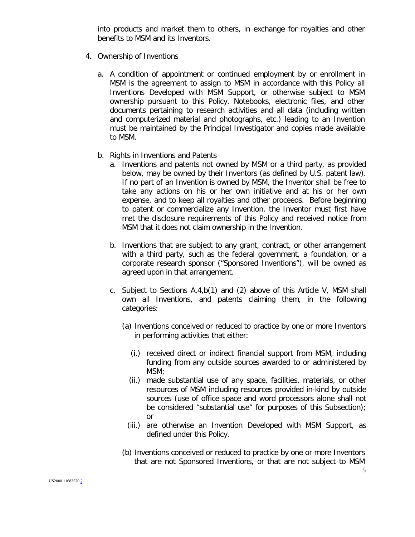into products and market them to others, in exchange for royalties and other benefits to MSM and its Inventors.

- 4. Ownership of Inventions
	- a. A condition of appointment or continued employment by or enrollment in MSM is the agreement to assign to MSM in accordance with this Policy all Inventions Developed with MSM Support, or otherwise subject to MSM ownership pursuant to this Policy. Notebooks, electronic files, and other documents pertaining to research activities and all data (including written and computerized material and photographs, etc.) leading to an Invention must be maintained by the Principal Investigator and copies made available to MSM.
	- b. Rights in Inventions and Patents
		- a. Inventions and patents not owned by MSM or a third party, as provided below, may be owned by their Inventors (as defined by U.S. patent law). If no part of an Invention is owned by MSM, the Inventor shall be free to take any actions on his or her own initiative and at his or her own expense, and to keep all royalties and other proceeds. Before beginning to patent or commercialize any Invention, the Inventor must first have met the disclosure requirements of this Policy and received notice from MSM that it does not claim ownership in the Invention.
		- b. Inventions that are subject to any grant, contract, or other arrangement with a third party, such as the federal government, a foundation, or a corporate research sponsor ("Sponsored Inventions"), will be owned as agreed upon in that arrangement.
		- c. Subject to Sections A,4,b(1) and (2) above of this Article V, MSM shall own all Inventions, and patents claiming them, in the following categories:
			- (a) Inventions conceived or reduced to practice by one or more Inventors in performing activities that either:
				- (i.) received direct or indirect financial support from MSM, including funding from any outside sources awarded to or administered by MSM;
				- (ii.) made substantial use of any space, facilities, materials, or other resources of MSM including resources provided in-kind by outside sources (use of office space and word processors alone shall not be considered "substantial use" for purposes of this Subsection); or
				- (iii.) are otherwise an Invention Developed with MSM Support, as defined under this Policy.
			- (b) Inventions conceived or reduced to practice by one or more Inventors that are not Sponsored Inventions, or that are not subject to MSM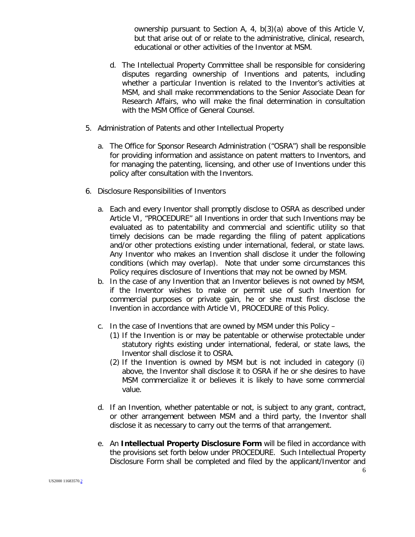ownership pursuant to Section A, 4, b(3)(a) above of this Article V, but that arise out of or relate to the administrative, clinical, research, educational or other activities of the Inventor at MSM.

- d. The Intellectual Property Committee shall be responsible for considering disputes regarding ownership of Inventions and patents, including whether a particular Invention is related to the Inventor's activities at MSM, and shall make recommendations to the Senior Associate Dean for Research Affairs, who will make the final determination in consultation with the MSM Office of General Counsel.
- 5. Administration of Patents and other Intellectual Property
	- a. The Office for Sponsor Research Administration ("OSRA") shall be responsible for providing information and assistance on patent matters to Inventors, and for managing the patenting, licensing, and other use of Inventions under this policy after consultation with the Inventors.
- 6. Disclosure Responsibilities of Inventors
	- a. Each and every Inventor shall promptly disclose to OSRA as described under Article VI, "PROCEDURE" all Inventions in order that such Inventions may be evaluated as to patentability and commercial and scientific utility so that timely decisions can be made regarding the filing of patent applications and/or other protections existing under international, federal, or state laws. Any Inventor who makes an Invention shall disclose it under the following conditions (which may overlap). Note that under some circumstances this Policy requires disclosure of Inventions that may not be owned by MSM.
	- b. In the case of any Invention that an Inventor believes is not owned by MSM, if the Inventor wishes to make or permit use of such Invention for commercial purposes or private gain, he or she must first disclose the Invention in accordance with Article VI, PROCEDURE of this Policy.
	- c. In the case of Inventions that are owned by MSM under this Policy
		- (1) If the Invention is or may be patentable or otherwise protectable under statutory rights existing under international, federal, or state laws, the Inventor shall disclose it to OSRA.
		- (2) If the Invention is owned by MSM but is not included in category (i) above, the Inventor shall disclose it to OSRA if he or she desires to have MSM commercialize it or believes it is likely to have some commercial value.
	- d. If an Invention, whether patentable or not, is subject to any grant, contract, or other arrangement between MSM and a third party, the Inventor shall disclose it as necessary to carry out the terms of that arrangement.
	- e. An **Intellectual Property Disclosure Form** will be filed in accordance with the provisions set forth below under PROCEDURE. Such Intellectual Property Disclosure Form shall be completed and filed by the applicant/Inventor and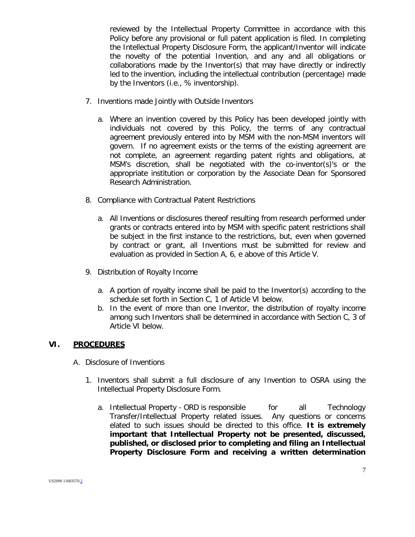reviewed by the Intellectual Property Committee in accordance with this Policy before any provisional or full patent application is filed. In completing the Intellectual Property Disclosure Form, the applicant/Inventor will indicate the novelty of the potential Invention, and any and all obligations or collaborations made by the Inventor(s) that may have directly or indirectly led to the invention, including the intellectual contribution (percentage) made by the Inventors (i.e., % inventorship).

- 7. Inventions made Jointly with Outside Inventors
	- a. Where an invention covered by this Policy has been developed jointly with individuals not covered by this Policy, the terms of any contractual agreement previously entered into by MSM with the non-MSM inventors will govern. If no agreement exists or the terms of the existing agreement are not complete, an agreement regarding patent rights and obligations, at MSM's discretion, shall be negotiated with the co-inventor(s)'s or the appropriate institution or corporation by the Associate Dean for Sponsored Research Administration.
- 8. Compliance with Contractual Patent Restrictions
	- a. All Inventions or disclosures thereof resulting from research performed under grants or contracts entered into by MSM with specific patent restrictions shall be subject in the first instance to the restrictions, but, even when governed by contract or grant, all Inventions must be submitted for review and evaluation as provided in Section A, 6, e above of this Article V.
- 9. Distribution of Royalty Income
	- a. A portion of royalty income shall be paid to the Inventor(s) according to the schedule set forth in Section C, 1 of Article VI below.
	- b. In the event of more than one Inventor, the distribution of royalty income among such Inventors shall be determined in accordance with Section C, 3 of Article VI below.

#### **VI. PROCEDURES**

- A. Disclosure of Inventions
	- 1. Inventors shall submit a full disclosure of any Invention to OSRA using the Intellectual Property Disclosure Form.
		- a. Intellectual Property ORD is responsible for all Technology Transfer/Intellectual Property related issues. Any questions or concerns elated to such issues should be directed to this office. **It is extremely important that Intellectual Property not be presented, discussed, published, or disclosed prior to completing and filing an Intellectual Property Disclosure Form and receiving a written determination**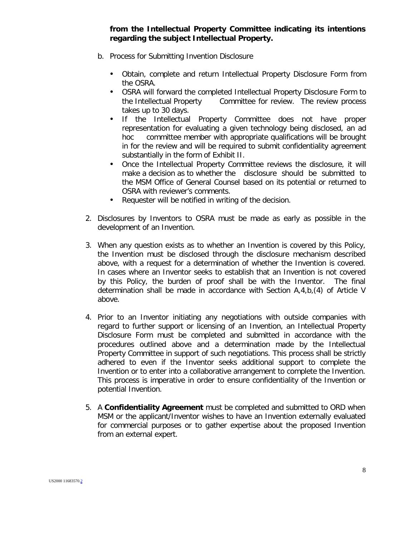**from the Intellectual Property Committee indicating its intentions regarding the subject Intellectual Property.**

- b. Process for Submitting Invention Disclosure
	- Obtain, complete and return Intellectual Property Disclosure Form from the OSRA.
	- OSRA will forward the completed Intellectual Property Disclosure Form to the Intellectual Property Committee for review. The review process takes up to 30 days.
	- If the Intellectual Property Committee does not have proper representation for evaluating a given technology being disclosed, an ad hoc committee member with appropriate qualifications will be brought in for the review and will be required to submit confidentiality agreement substantially in the form of Exhibit II.
	- Once the Intellectual Property Committee reviews the disclosure, it will make a decision as to whether the disclosure should be submitted to the MSM Office of General Counsel based on its potential or returned to OSRA with reviewer's comments.
	- Requester will be notified in writing of the decision.
- 2. Disclosures by Inventors to OSRA must be made as early as possible in the development of an Invention.
- 3. When any question exists as to whether an Invention is covered by this Policy, the Invention must be disclosed through the disclosure mechanism described above, with a request for a determination of whether the Invention is covered. In cases where an Inventor seeks to establish that an Invention is not covered by this Policy, the burden of proof shall be with the Inventor. The final determination shall be made in accordance with Section A,4,b,(4) of Article V above.
- 4. Prior to an Inventor initiating any negotiations with outside companies with regard to further support or licensing of an Invention, an Intellectual Property Disclosure Form must be completed and submitted in accordance with the procedures outlined above and a determination made by the Intellectual Property Committee in support of such negotiations. This process shall be strictly adhered to even if the Inventor seeks additional support to complete the Invention or to enter into a collaborative arrangement to complete the Invention. This process is imperative in order to ensure confidentiality of the Invention or potential Invention.
- 5. A **Confidentiality Agreement** must be completed and submitted to ORD when MSM or the applicant/Inventor wishes to have an Invention externally evaluated for commercial purposes or to gather expertise about the proposed Invention from an external expert.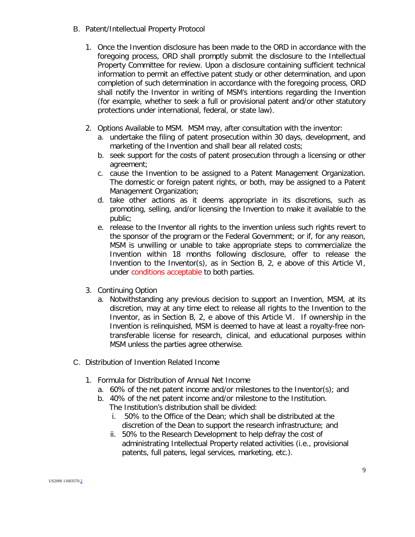- B. Patent/Intellectual Property Protocol
	- 1. Once the Invention disclosure has been made to the ORD in accordance with the foregoing process, ORD shall promptly submit the disclosure to the Intellectual Property Committee for review. Upon a disclosure containing sufficient technical information to permit an effective patent study or other determination, and upon completion of such determination in accordance with the foregoing process, ORD shall notify the Inventor in writing of MSM's intentions regarding the Invention (for example, whether to seek a full or provisional patent and/or other statutory protections under international, federal, or state law).
	- 2. Options Available to MSM. MSM may, after consultation with the inventor:
		- a. undertake the filing of patent prosecution within 30 days, development, and marketing of the Invention and shall bear all related costs;
		- b. seek support for the costs of patent prosecution through a licensing or other agreement;
		- c. cause the Invention to be assigned to a Patent Management Organization. The domestic or foreign patent rights, or both, may be assigned to a Patent Management Organization;
		- d. take other actions as it deems appropriate in its discretions, such as promoting, selling, and/or licensing the Invention to make it available to the public;
		- e. release to the Inventor all rights to the invention unless such rights revert to the sponsor of the program or the Federal Government; or if, for any reason, MSM is unwilling or unable to take appropriate steps to commercialize the Invention within 18 months following disclosure, offer to release the Invention to the Inventor(s), as in Section B, 2, e above of this Article VI, under conditions acceptable to both parties.
	- 3. Continuing Option
		- a. Notwithstanding any previous decision to support an Invention, MSM, at its discretion, may at any time elect to release all rights to the Invention to the Inventor, as in Section B, 2, e above of this Article VI. If ownership in the Invention is relinquished, MSM is deemed to have at least a royalty-free nontransferable license for research, clinical, and educational purposes within MSM unless the parties agree otherwise.
- C. Distribution of Invention Related Income
	- 1. Formula for Distribution of Annual Net Income
		- a. 60% of the net patent income and/or milestones to the Inventor(s); and
		- b. 40% of the net patent income and/or milestone to the Institution. The Institution's distribution shall be divided:
			- i. 50% to the Office of the Dean; which shall be distributed at the discretion of the Dean to support the research infrastructure; and
			- ii. 50% to the Research Development to help defray the cost of administrating Intellectual Property related activities (i.e., provisional patents, full patens, legal services, marketing, etc.).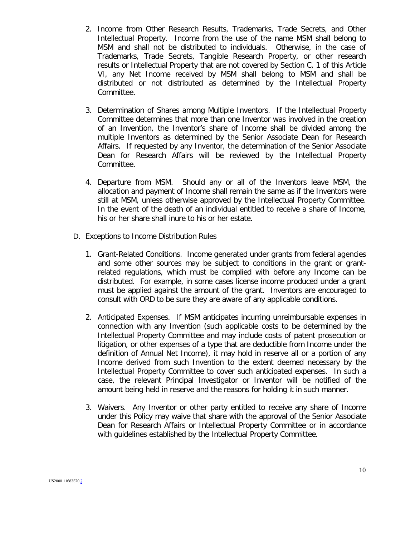- 2. Income from Other Research Results, Trademarks, Trade Secrets, and Other Intellectual Property. Income from the use of the name MSM shall belong to MSM and shall not be distributed to individuals. Otherwise, in the case of Trademarks, Trade Secrets, Tangible Research Property, or other research results or Intellectual Property that are not covered by Section C, 1 of this Article VI, any Net Income received by MSM shall belong to MSM and shall be distributed or not distributed as determined by the Intellectual Property Committee.
- 3. Determination of Shares among Multiple Inventors. If the Intellectual Property Committee determines that more than one Inventor was involved in the creation of an Invention, the Inventor's share of Income shall be divided among the multiple Inventors as determined by the Senior Associate Dean for Research Affairs. If requested by any Inventor, the determination of the Senior Associate Dean for Research Affairs will be reviewed by the Intellectual Property Committee.
- 4. Departure from MSM. Should any or all of the Inventors leave MSM, the allocation and payment of Income shall remain the same as if the Inventors were still at MSM, unless otherwise approved by the Intellectual Property Committee. In the event of the death of an individual entitled to receive a share of Income, his or her share shall inure to his or her estate.
- D. Exceptions to Income Distribution Rules
	- 1. Grant-Related Conditions. Income generated under grants from federal agencies and some other sources may be subject to conditions in the grant or grantrelated regulations, which must be complied with before any Income can be distributed. For example, in some cases license income produced under a grant must be applied against the amount of the grant. Inventors are encouraged to consult with ORD to be sure they are aware of any applicable conditions.
	- 2. Anticipated Expenses. If MSM anticipates incurring unreimbursable expenses in connection with any Invention (such applicable costs to be determined by the Intellectual Property Committee and may include costs of patent prosecution or litigation, or other expenses of a type that are deductible from Income under the definition of Annual Net Income), it may hold in reserve all or a portion of any Income derived from such Invention to the extent deemed necessary by the Intellectual Property Committee to cover such anticipated expenses. In such a case, the relevant Principal Investigator or Inventor will be notified of the amount being held in reserve and the reasons for holding it in such manner.
	- 3. Waivers. Any Inventor or other party entitled to receive any share of Income under this Policy may waive that share with the approval of the Senior Associate Dean for Research Affairs or Intellectual Property Committee or in accordance with guidelines established by the Intellectual Property Committee.